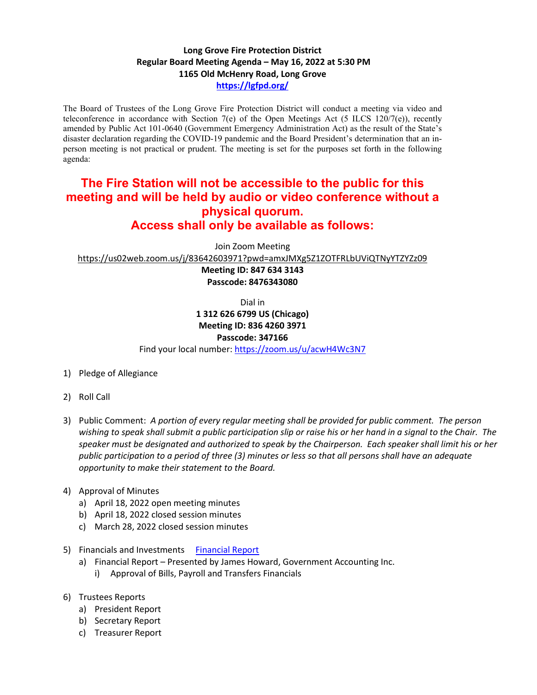## **Long Grove Fire Protection District Regular Board Meeting Agenda – May 16, 2022 at 5:30 PM 1165 Old McHenry Road, Long Grove <https://lgfpd.org/>**

The Board of Trustees of the Long Grove Fire Protection District will conduct a meeting via video and teleconference in accordance with Section 7(e) of the Open Meetings Act (5 ILCS 120/7(e)), recently amended by Public Act 101-0640 (Government Emergency Administration Act) as the result of the State's disaster declaration regarding the COVID-19 pandemic and the Board President's determination that an inperson meeting is not practical or prudent. The meeting is set for the purposes set forth in the following agenda:

## **The Fire Station will not be accessible to the public for this meeting and will be held by audio or video conference without a physical quorum. Access shall only be available as follows:**

Join Zoom Meeting

<https://us02web.zoom.us/j/83642603971?pwd=amxJMXg5Z1ZOTFRLbUViQTNyYTZYZz09>

**Meeting ID: 847 634 3143 Passcode: 8476343080**

Dial in

## **1 312 626 6799 US (Chicago)**

**Meeting ID: 836 4260 3971 Passcode: 347166**

Find your local number[: https://zoom.us/u/acwH4Wc3N7](https://zoom.us/u/acwH4Wc3N7)

- 1) Pledge of Allegiance
- 2) Roll Call
- 3) Public Comment: *A portion of every regular meeting shall be provided for public comment. The person wishing to speak shall submit a public participation slip or raise his or her hand in a signal to the Chair. The speaker must be designated and authorized to speak by the Chairperson. Each speaker shall limit his or her public participation to a period of three (3) minutes or less so that all persons shall have an adequate opportunity to make their statement to the Board.*
- 4) Approval of Minutes
	- a) April 18, 2022 open meeting minutes
	- b) April 18, 2022 closed session minutes
	- c) March 28, 2022 closed session minutes
- 5) Financials and Investments [Financial Report](https://itgophers.sharepoint.com/:p:/s/SharedDocs/ERPoA-uwmxhKmyPoe1mFES4BbntQW7LUKp3deERbGMppkw?e=azdCp7)
	- a) Financial Report Presented by James Howard, Government Accounting Inc.
		- i) Approval of Bills, Payroll and Transfers Financials
- 6) Trustees Reports
	- a) President Report
	- b) Secretary Report
	- c) Treasurer Report